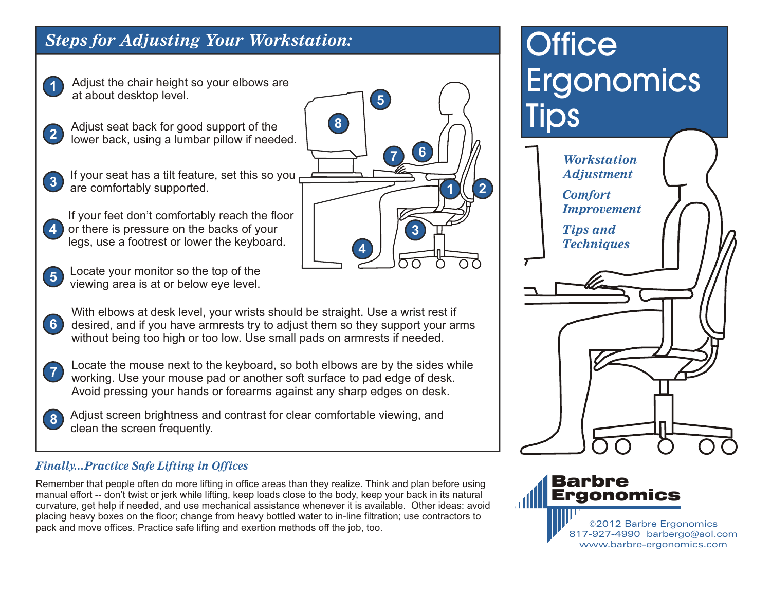### *Steps for Adjusting Your Workstation:*

Adjust the chair height so your elbows are at about desktop level.

**1**

**8**

- **2** Adjust seat back for good support of the lower back, using a lumbar pillow if needed.
- **3** If your seat has a tilt feature, set this so you are comfortably supported.
- **4** or there is pressure on the backs of your **1 1 1 1 1 1 1 1 1** If your feet don't comfortably reach the floor legs, use a footrest or lower the keyboard.
- **5** Locate your monitor so the top of the viewing area is at or below eye level.
- **6** With elbows at desk level, your wrists should be straight. Use a wrist rest if desired, and if you have armrests try to adjust them so they support your arms without being too high or too low. Use small pads on armrests if needed.
- **7** Locate the mouse next to the keyboard, so both elbows are by the sides while working. Use your mouse pad or another soft surface to pad edge of desk. Avoid pressing your hands or forearms against any sharp edges on desk.
	- Adjust screen brightness and contrast for clear comfortable viewing, and clean the screen frequently.

#### *Finally...Practice Safe Lifting in Offices*

Remember that people often do more lifting in office areas than they realize. Think and plan before using manual effort -- don't twist or jerk while lifting, keep loads close to the body, keep your back in its natural curvature, get help if needed, and use mechanical assistance whenever it is available. Other ideas: avoid placing heavy boxes on the floor; change from heavy bottled water to in-line filtration; use contractors to pack and move offices. Practice safe lifting and exertion methods off the job, too.

# **Office Ergonomics** Tips